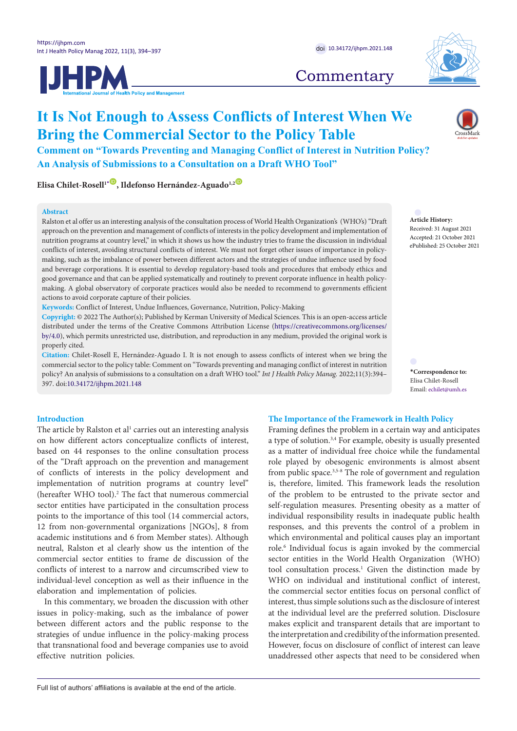



## **Commentary**

# **It Is Not Enough to Assess Conflicts of Interest When We Bring the Commercial Sector to the Policy Table**

**Comment on "Towards Preventing and Managing Conflict of Interest in Nutrition Policy? An Analysis of Submissions to a Consultation on a Draft WHO Tool"**

**Elisa Chilet-Rosell<sup>1</sub><sup><sup>1</sup>, Ildefonso Hernández-Aguado<sup>1,2</sub><sup><sup>0</sup>**</sup></sup></sup></sup>

#### **Abstract**

Ralston et al offer us an interesting analysis of the consultation process of World Health Organization's (WHO's) "Draft approach on the prevention and management of conflicts of interests in the policy development and implementation of nutrition programs at country level," in which it shows us how the industry tries to frame the discussion in individual conflicts of interest, avoiding structural conflicts of interest. We must not forget other issues of importance in policymaking, such as the imbalance of power between different actors and the strategies of undue influence used by food and beverage corporations. It is essential to develop regulatory-based tools and procedures that embody ethics and good governance and that can be applied systematically and routinely to prevent corporate influence in health policymaking. A global observatory of corporate practices would also be needed to recommend to governments efficient actions to avoid corporate capture of their policies.

**Keywords:** Conflict of Interest, Undue Influences, Governance, Nutrition, Policy-Making

**Copyright:** © 2022 The Author(s); Published by Kerman University of Medical Sciences. This is an open-access article distributed under the terms of the Creative Commons Attribution License [\(https://creativecommons.org/licenses/](https://creativecommons.org/licenses/by/4.0/) [by/4.0](https://creativecommons.org/licenses/by/4.0/)), which permits unrestricted use, distribution, and reproduction in any medium, provided the original work is properly cited.

**Citation:** Chilet-Rosell E, Hernández-Aguado I. It is not enough to assess conflicts of interest when we bring the commercial sector to the policy table: Comment on "Towards preventing and managing conflict of interest in nutrition policy? An analysis of submissions to a consultation on a draft WHO tool." *Int J Health Policy Manag.* 2022;11(3):394– 397. doi[:10.34172/ijhpm.2021.148](https://doi.org/10.34172/ijhpm.2021.148)

## **Introduction**

The article by Ralston et al<sup>1</sup> carries out an interesting analysis on how different actors conceptualize conflicts of interest, based on 44 responses to the online consultation process of the "Draft approach on the prevention and management of conflicts of interests in the policy development and implementation of nutrition programs at country level" (hereafter WHO tool).<sup>2</sup> The fact that numerous commercial sector entities have participated in the consultation process points to the importance of this tool (14 commercial actors, 12 from non-governmental organizations [NGOs], 8 from academic institutions and 6 from Member states). Although neutral, Ralston et al clearly show us the intention of the commercial sector entities to frame de discussion of the conflicts of interest to a narrow and circumscribed view to individual-level conception as well as their influence in the elaboration and implementation of policies.

In this commentary, we broaden the discussion with other issues in policy-making, such as the imbalance of power between different actors and the public response to the strategies of undue influence in the policy-making process that transnational food and beverage companies use to avoid effective nutrition policies.

**Article History:** Received: 31 August 2021 Accepted: 21 October 2021 ePublished: 25 October 2021

<span id="page-0-0"></span>**\*Correspondence to:** Elisa Chilet-Rosell Email: echilet@umh.es

## **The Importance of the Framework in Health Policy**

Framing defines the problem in a certain way and anticipates a type of solution.3,4 For example, obesity is usually presented as a matter of individual free choice while the fundamental role played by obesogenic environments is almost absent from public space.<sup>3,5-8</sup> The role of government and regulation is, therefore, limited. This framework leads the resolution of the problem to be entrusted to the private sector and self-regulation measures. Presenting obesity as a matter of individual responsibility results in inadequate public health responses, and this prevents the control of a problem in which environmental and political causes play an important role.<sup>6</sup> Individual focus is again invoked by the commercial sector entities in the World Health Organization (WHO) tool consultation process.<sup>1</sup> Given the distinction made by WHO on individual and institutional conflict of interest, the commercial sector entities focus on personal conflict of interest, thus simple solutions such as the disclosure of interest at the individual level are the preferred solution. Disclosure makes explicit and transparent details that are important to the interpretation and credibility of the information presented. However, focus on disclosure of conflict of interest can leave unaddressed other aspects that need to be considered when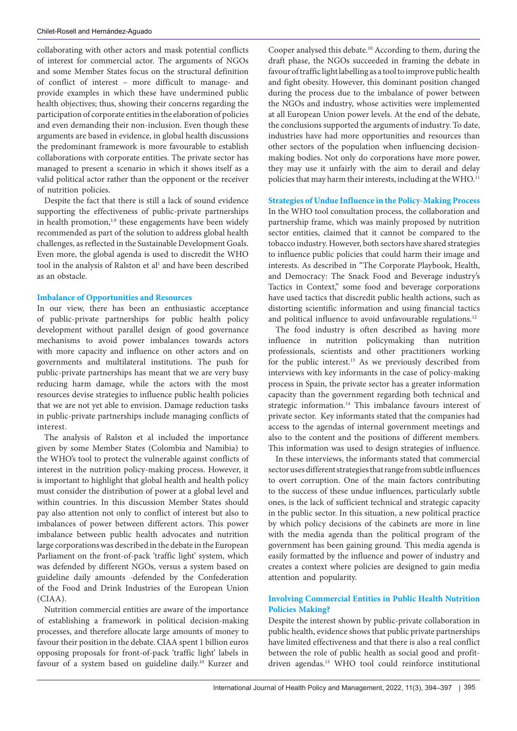collaborating with other actors and mask potential conflicts of interest for commercial actor. The arguments of NGOs and some Member States focus on the structural definition of conflict of interest – more difficult to manage- and provide examples in which these have undermined public health objectives; thus, showing their concerns regarding the participation of corporate entities in the elaboration of policies and even demanding their non-inclusion. Even though these arguments are based in evidence, in global health discussions the predominant framework is more favourable to establish collaborations with corporate entities. The private sector has managed to present a scenario in which it shows itself as a valid political actor rather than the opponent or the receiver of nutrition policies.

Despite the fact that there is still a lack of sound evidence supporting the effectiveness of public-private partnerships in health promotion,<sup>1,9</sup> these engagements have been widely recommended as part of the solution to address global health challenges, as reflected in the Sustainable Development Goals. Even more, the global agenda is used to discredit the WHO tool in the analysis of Ralston et al<sup>1</sup> and have been described as an obstacle.

## **Imbalance of Opportunities and Resources**

In our view, there has been an enthusiastic acceptance of public-private partnerships for public health policy development without parallel design of good governance mechanisms to avoid power imbalances towards actors with more capacity and influence on other actors and on governments and multilateral institutions. The push for public-private partnerships has meant that we are very busy reducing harm damage, while the actors with the most resources devise strategies to influence public health policies that we are not yet able to envision. Damage reduction tasks in public-private partnerships include managing conflicts of interest.

The analysis of Ralston et al included the importance given by some Member States (Colombia and Namibia) to the WHO's tool to protect the vulnerable against conflicts of interest in the nutrition policy-making process. However, it is important to highlight that global health and health policy must consider the distribution of power at a global level and within countries. In this discussion Member States should pay also attention not only to conflict of interest but also to imbalances of power between different actors. This power imbalance between public health advocates and nutrition large corporations was described in the debate in the European Parliament on the front-of-pack 'traffic light' system, which was defended by different NGOs, versus a system based on guideline daily amounts -defended by the Confederation of the Food and Drink Industries of the European Union (CIAA).

Nutrition commercial entities are aware of the importance of establishing a framework in political decision-making processes, and therefore allocate large amounts of money to favour their position in the debate. CIAA spent 1 billion euros opposing proposals for front-of-pack 'traffic light' labels in favour of a system based on guideline daily.<sup>10</sup> Kurzer and Cooper analysed this debate.10 According to them, during the draft phase, the NGOs succeeded in framing the debate in favour of traffic light labelling as a tool to improve public health and fight obesity. However, this dominant position changed during the process due to the imbalance of power between the NGOs and industry, whose activities were implemented at all European Union power levels. At the end of the debate, the conclusions supported the arguments of industry. To date, industries have had more opportunities and resources than other sectors of the population when influencing decisionmaking bodies. Not only do corporations have more power, they may use it unfairly with the aim to derail and delay policies that may harm their interests, including at the WHO.<sup>11</sup>

## **Strategies of Undue Influence in the Policy-Making Process**

In the WHO tool consultation process, the collaboration and partnership frame, which was mainly proposed by nutrition sector entities, claimed that it cannot be compared to the tobacco industry. However, both sectors have shared strategies to influence public policies that could harm their image and interests. As described in "The Corporate Playbook, Health, and Democracy: The Snack Food and Beverage industry's Tactics in Context," some food and beverage corporations have used tactics that discredit public health actions, such as distorting scientific information and using financial tactics and political influence to avoid unfavourable regulations.<sup>12</sup>

The food industry is often described as having more influence in nutrition policymaking than nutrition professionals, scientists and other practitioners working for the public interest.<sup>13</sup> As we previously described from interviews with key informants in the case of policy-making process in Spain, the private sector has a greater information capacity than the government regarding both technical and strategic information.<sup>14</sup> This imbalance favours interest of private sector. Key informants stated that the companies had access to the agendas of internal government meetings and also to the content and the positions of different members. This information was used to design strategies of influence.

In these interviews, the informants stated that commercial sector uses different strategies that range from subtle influences to overt corruption. One of the main factors contributing to the success of these undue influences, particularly subtle ones, is the lack of sufficient technical and strategic capacity in the public sector. In this situation, a new political practice by which policy decisions of the cabinets are more in line with the media agenda than the political program of the government has been gaining ground. This media agenda is easily formatted by the influence and power of industry and creates a context where policies are designed to gain media attention and popularity.

## **Involving Commercial Entities in Public Health Nutrition Policies Making?**

Despite the interest shown by public-private collaboration in public health, evidence shows that public private partnerships have limited effectiveness and that there is also a real conflict between the role of public health as social good and profitdriven agendas.<sup>15</sup> WHO tool could reinforce institutional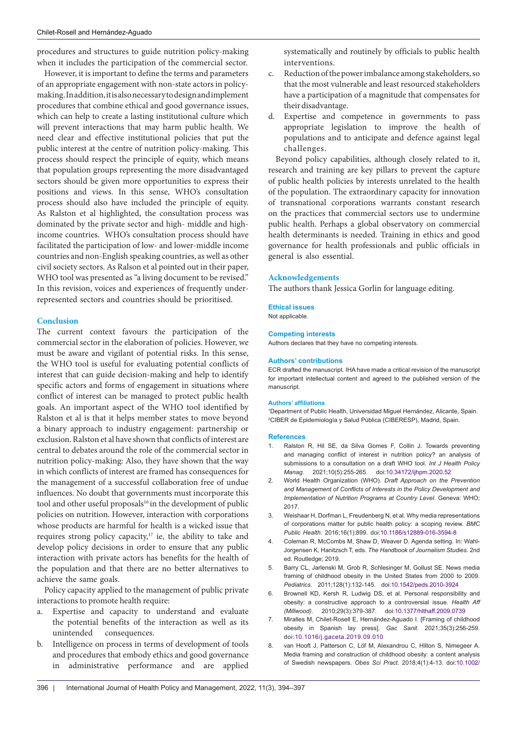procedures and structures to guide nutrition policy-making when it includes the participation of the commercial sector.

However, it is important to define the terms and parameters of an appropriate engagement with non-state actors in policymaking. In addition, it is also necessary to design and implement procedures that combine ethical and good governance issues, which can help to create a lasting institutional culture which will prevent interactions that may harm public health. We need clear and effective institutional policies that put the public interest at the centre of nutrition policy-making. This process should respect the principle of equity, which means that population groups representing the more disadvantaged sectors should be given more opportunities to express their positions and views. In this sense, WHO's consultation process should also have included the principle of equity. As Ralston et al highlighted, the consultation process was dominated by the private sector and high- middle and highincome countries. WHO's consultation process should have facilitated the participation of low- and lower-middle income countries and non-English speaking countries, as well as other civil society sectors. As Ralson et al pointed out in their paper, WHO tool was presented as "a living document to be revised." In this revision, voices and experiences of frequently underrepresented sectors and countries should be prioritised.

## **Conclusion**

The current context favours the participation of the commercial sector in the elaboration of policies. However, we must be aware and vigilant of potential risks. In this sense, the WHO tool is useful for evaluating potential conflicts of interest that can guide decision-making and help to identify specific actors and forms of engagement in situations where conflict of interest can be managed to protect public health goals. An important aspect of the WHO tool identified by Ralston et al is that it helps member states to move beyond a binary approach to industry engagement: partnership or exclusion. Ralston et al have shown that conflicts of interest are central to debates around the role of the commercial sector in nutrition policy-making: Also, they have shown that the way in which conflicts of interest are framed has consequences for the management of a successful collaboration free of undue influences. No doubt that governments must incorporate this tool and other useful proposals<sup>16</sup> in the development of public policies on nutrition. However, interaction with corporations whose products are harmful for health is a wicked issue that requires strong policy capacity,<sup>17</sup> ie, the ability to take and develop policy decisions in order to ensure that any public interaction with private actors has benefits for the health of the population and that there are no better alternatives to achieve the same goals.

Policy capacity applied to the management of public private interactions to promote health require:

- a. Expertise and capacity to understand and evaluate the potential benefits of the interaction as well as its unintended consequences.
- b. Intelligence on process in terms of development of tools and procedures that embody ethics and good governance in administrative performance and are applied

systematically and routinely by officials to public health interventions.

- c. Reduction of the power imbalance among stakeholders, so that the most vulnerable and least resourced stakeholders have a participation of a magnitude that compensates for their disadvantage.
- d. Expertise and competence in governments to pass appropriate legislation to improve the health of populations and to anticipate and defence against legal challenges.

Beyond policy capabilities, although closely related to it, research and training are key pillars to prevent the capture of public health policies by interests unrelated to the health of the population. The extraordinary capacity for innovation of transnational corporations warrants constant research on the practices that commercial sectors use to undermine public health. Perhaps a global observatory on commercial health determinants is needed. Training in ethics and good governance for health professionals and public officials in general is also essential.

## **Acknowledgements**

The authors thank Jessica Gorlin for language editing.

#### **Ethical issues**

Not applicable.

## **Competing interests**

Authors declares that they have no competing interests.

#### **Authors' contributions**

ECR drafted the manuscript. IHA have made a critical revision of the manuscript for important intellectual content and agreed to the published version of the manuscript.

#### **Authors' affiliations**

1 Department of Public Health, Universidad Miguel Hernández, Alicante, Spain. 2 CIBER de Epidemiología y Salud Pública (CIBERESP), Madrid, Spain.

#### **References**

- 1. Ralston R, Hil SE, da Silva Gomes F, Collin J. Towards preventing and managing conflict of interest in nutrition policy? an analysis of submissions to a consultation on a draft WHO tool. *Int J Health Policy Manag*. 2021;10(5):255-265. doi:[10.34172/ijhpm.2020.52](https://doi.org/10.34172/ijhpm.2020.52)
- 2. World Health Organization (WHO). *Draft Approach on the Prevention and Management of Conflicts of Interests in the Policy Development and Implementation of Nutrition Programs at Country Level*. Geneva: WHO; 2017.
- 3. Weishaar H, Dorfman L, Freudenberg N, et al. Why media representations of corporations matter for public health policy: a scoping review. *BMC Public Health*. 2016;16(1):899. doi[:10.1186/s12889-016-3594-8](https://doi.org/10.1186/s12889-016-3594-8)
- 4. Coleman R, McCombs M, Shaw D, Weaver D. Agenda setting. In: Wahl-Jorgensen K, Hanitzsch T, eds. *The Handbook of Journalism Studies*. 2nd ed. Routledge; 2019.
- 5. Barry CL, Jarlenski M, Grob R, Schlesinger M, Gollust SE. News media framing of childhood obesity in the United States from 2000 to 2009. *Pediatrics*. 2011;128(1):132-145. doi:[10.1542/peds.2010-3924](https://doi.org/10.1542/peds.2010-3924)
- 6. Brownell KD, Kersh R, Ludwig DS, et al. Personal responsibility and obesity: a constructive approach to a controversial issue. *Health Aff (Millwood)*. 2010;29(3):379-387. doi:[10.1377/hlthaff.2009.0739](https://doi.org/10.1377/hlthaff.2009.0739)
- 7. Miralles M, Chilet-Rosell E, Hernández-Aguado I. [Framing of childhood obesity in Spanish lay press]. *Gac Sanit*. 2021;35(3):256-259. doi:[10.1016/j.gaceta.2019.09.010](https://doi.org/10.1016/j.gaceta.2019.09.010)
- 8. van Hooft J, Patterson C, Löf M, Alexandrou C, Hilton S, Nimegeer A. Media framing and construction of childhood obesity: a content analysis of Swedish newspapers. *Obes Sci Pract*. 2018;4(1):4-13. doi:[10.1002/](https://doi.org/10.1002/osp4.150)